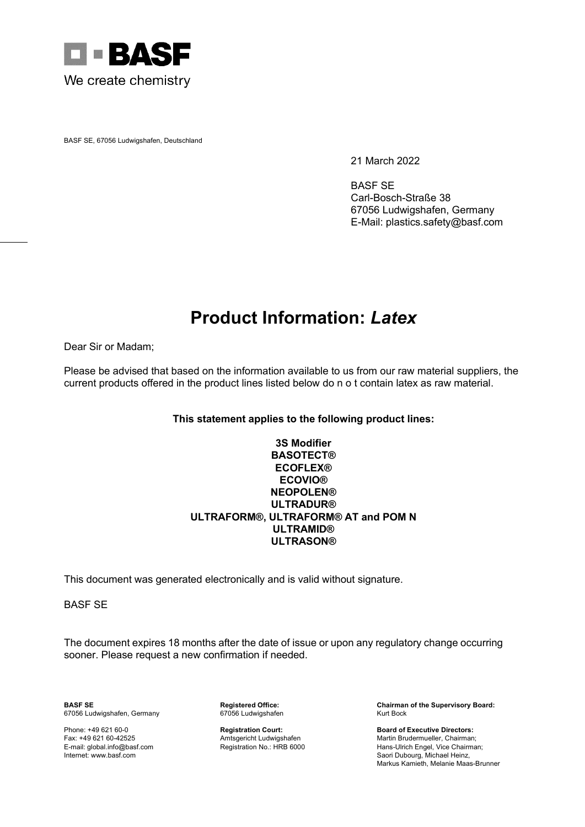

BASF SE, 67056 Ludwigshafen, Deutschland

21 March 2022

BASF SE Carl-Bosch-Straße 38 67056 Ludwigshafen, Germany E-Mail: plastics.safety@basf.com

## **Product Information:** *Latex*

Dear Sir or Madam;

Please be advised that based on the information available to us from our raw material suppliers, the current products offered in the product lines listed below do n o t contain latex as raw material.

## **This statement applies to the following product lines:**

## **3S Modifier BASOTECT® ECOFLEX® ECOVIO® NEOPOLEN® ULTRADUR® ULTRAFORM®, ULTRAFORM® AT and POM N ULTRAMID® ULTRASON®**

This document was generated electronically and is valid without signature.

BASF SE

The document expires 18 months after the date of issue or upon any regulatory change occurring sooner. Please request a new confirmation if needed.

67056 Ludwigshafen, Germany

**BASF SE Registered Office: Chairman of the Supervisory Board:**

Phone: +49 621 60-0 **Registration Court: Board of Executive Directors:** Fax: +49 621 60-42525 **Amtsgericht Ludwigshafen** Martin Brudermueller, Chairman; Amtsgericht Ludwigshafen Martin Brudermueller, Chairman; E-mail: global.info@basf.com Registration No.: HRB 6000 Hans-Ulrich Engel, Vice Chai E-mail: global.info@basf.com Registration No.: HRB 6000 Hans-Ulrich Engel, Vice Chairman; Saori Dubourg, Michael Heinz, Markus Kamieth, Melanie Maas-Brunner